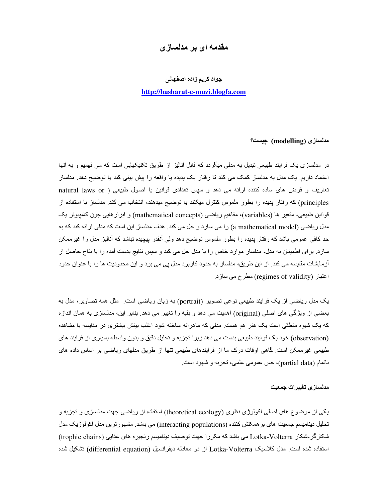# مقدمه ای بر مدلساز ی

### جواد كريم زاده اصفهاني

### http://hasharat-e-muzi.blogfa.com

مدلسازی (modelling) چیست؟

در ِ مدلساز ی یک فر ایند طبیعی تبدیل به مدلی میگر دد که قابل آنالیز از طریق تکنیکهایی است که می فهمیم و به آنها اعتماد داریم یک مدل به مدلساز کمک می کند نا رفتار یک پدیده یا واقعه را پیش بینی کند یا توضیح دهد ِ مدلساز تعاریف و فرض های ساده کننده ارائه می دهد و سپس تعدادی قوانین یا اصول طبیعی ( natural laws or principles) که رفتار بدیده را بطور ملموس کنترل میکنند یا توضیح میدهند، انتخاب می کند. مدلساز با استفاده از قوانين طبيعي، منغير ها (variables)، مفاهيم رياضي (mathematical concepts) و ابزار هايي چون كامپيوتر يک مدل ریاضی (a mathematical model) را می سازد و حل می کند. هدف مدلساز این است که مدلی ارائه کند که به حد کافی عمومی باشد که رفتار پدیده را بطور ملموس توضیح دهد ولی آنقدر بیچیده نباشد که آنالیز مدل را غیرممکن سازد. برای اطمینان به مدل، مدلساز موارد خاص را با مدل حل می کند و سپس نتایج بدست آمده را با نتاج حاصل از أزمايشات مقايسه مي كند. از اين طريق، مدلساز به حدود كاربرد مدل بي مي برد و اين محدوديت ها را با عنوان حدود اعتبار (regimes of validity) مطرح می سازد.

یک مدل ریاضی از یک فرایند طبیعی نوعی تصویر (portrait) به زبان ریاضی است<sub>.</sub> مثل همه تصاویر، مدل به بعضبی از ویژگی های اصلی (original) اهمیت می دهد و بقیه را تغییر می دهد بنابر این، مدلسازی به همان اندازه که یک شیوه منطقی است یک هنر ِ هم هست ِ مدلی که ماهر انه ساخته شود اغلب بینش بیشتر ی در مقایسه با مشاهده (observation) خود یک فرایند طبیعی بدست می دهد زیرا تجزیه و تحلیل دقیق و بدون واسطه بسیاری از فرایند های طبیعی غیرممکن است گاهی اوقات درک ما از فرایندهای طبیعی تنها از طریق مدلهای ریاضی بر اساس داده های ناتمام (partial data)، حس عمومي علمي، تجربه و شهود است.

#### مدلسازى تغييرات جمعيت

یکی از موضوع های اصلی اکولوژی نظری (theoretical ecology) استفاده از ریاضی جهت مدلسازی و تجزیه و تحلیل دینامیسم جمعیت های بر همکنش کننده (interacting populations) می باشد. مشهور ترین مدل اکولوژیک مدل شکارگر\_شکار ملعل Lotka-Volterra می باشد که مکررا جهت توصیف دینامیسم زنجیره های غذایی (trophic chains) استفاده شده است ِ مدل كلاسيک Lotka-Volterra از دو معادله ديفرانسيل (differential equation) تشكيل شده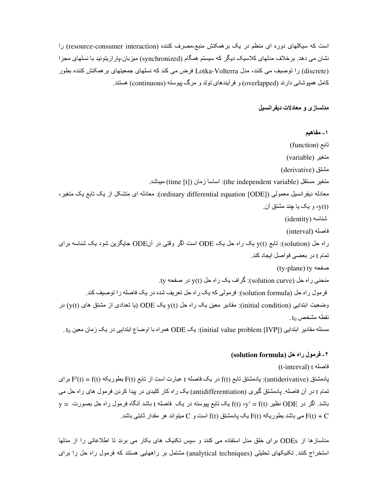است که سیکلهای دوره ای منظم در یک بر همکنش منبع-مصرف کننده (resource-consumer interaction) را نشان می دهد. بر خلاف مدلهای کلاسیک دیگر که سیستم همگام (synchronized) میزبان-پار از پتوئید با نسلهای مجز ا (discrete) را توصیف می کنند، مدل Lotka-Volterra فرض می کند که نسلهای جمعیتهای بر همکنش کننده بطور کامل همبوشانی دارند (overlapped) و فرأیندهای تولد و مرگ بیوسته (continuous) هستند.

مدلسازی و معادلات دیفرانسیل

١ ـ مفاهيم نابع (function) (variable) متغير (derivative) مشتق متغير مستقل (the independent variable): اساسا زمان (time [t]) ميباشد. معادله دیفرانسیل معمولی ([Ordinary differential equation [ODE]): معادله ای منشکل از یک نابع یک منغیر، (y(t، و یک یا چند مشتق آن شناسه (identity) فاصله (interval) راه حل (solution): تابع y(t یک راه حل یک ODE است اگر وقتی در آنODE جایگزین شود یک شناسه برای تمام t در بعضي فواصل ايجاد كند. (ty-plane) ty منحنی راه حل (solution curve): گراف یک راه حل (y(t در صفحه ty. فرمول راه حل (solution formula): فرمولي كه يك راه حل تعريف شده در يك فاصله را توصيف كند. وضعیت ابتدایی (initial condition): مقادیر معین یک راه حل (y(t یک ODE (یا تعدادی از مشتق های (y(t) در .  $t_0$  نقطه مشخص مسئله مقادير ابتدايي (initial value problem [IVP]): يك ODE) همراه با اوضاع ابتدايي در يك زمان معين 10 .

# ٢- فرمول راه حل (solution formula)

(t-interval) t فاصله

یادمشتق (antiderivative): یادمشتق تابع f(t) در یک فاصله t عبارت است از تابع F(t) بطوریکه F'(t) = f(t) برای تمام t در آن فاصله. پادمشتق گیری (antidifferentiation) یک راه کار کلیدی در پیدا کردن فرمول های راه حل می  $y = y = 0$ باشد ِ اگر در ODE نظیر  $f(t)$  ،  $y' = f(t)$  بک تابع پیوسته در یک فاصله t باشد آنگاه فرمول راه حل بصورت بک باشد با است و C میتواند هر مقدار ثابتی باشد. F(t) و F(t) + C به مقدار ثابتی باشد. F(t) + C

مدلسازها از ODEs برای خلق مدل استفاده می کنند و سپس تکنیک های بکار می برند تا اطلاعاتی را از مدلها استخراج کنند. تکنیکهای تحلیلی (analytical techniques) مشتمل بر راههایی هستند که فرمول راه حل را برای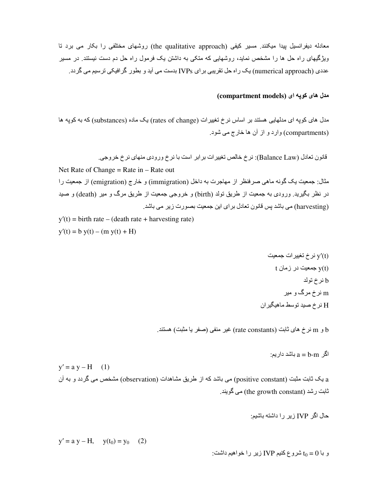معادله دیفرانسیل بیدا میکنند. مسیر کیفی (the qualitative approach) روشهای مختلفی را بکار می برد تا ویژگیهای راه حل ها را مشخص نماید، روشهایی که متکی به داشتن یک فرمول راه حل دم دست نیستند. در مسیر عددی (numerical approach) یک راه حل تقریبی برای IVPs بدست می آید و بطور گرافیکی ترسیم می گردد.

## (compartment models) مدل های کوپه ای

مدل های کوپه ای مدلهایی هستند بر اساس نرخ تغییرات (rates of change) یک ماده (substances) که به کوپه ها (compartments) وارد و از أن ها خارج مي شود.

Net Rate of Change = Rate in  $-$  Rate out مثال: جمعيت يک گونه ماهي صرفنظر از مهاجرت به داخل (immigration) و خارج (emigration) از جمعيت را در نظر بگیرید<sub>.</sub> ورودی به جمعیت از طریق تولد (birth) و خروجی جمعیت از طریق مرگ و میر (death) و صید (harvesting) می باشد پس قانون تعادل برای این جمعیت بصورت زیر می باشد.

 $y'(t) = \text{birth rate} - (\text{death rate} + \text{harvesting rate})$  $y'(t) = b y(t) - (m y(t) + H)$ 

> $v'(t)$ نرخ تغییر ات جمعیت t بمعيت در زمان t b نرخ تولد m نرخ مرگ و میر H نرخ صيد توسط ماهيگيران

b و m نرخ های ثابت (rate constants) غیر منفی (صفر یا مثبت) هستند.

اگر  $a = b - m$  باشد دار ہم

 $y' = a y - H$  (1) a یک ثابت مثبت (positive constant) می باشد که از طریق مشاهدات (observation) مشخص می گردد و به آن ثابت رشد (the growth constant) می گویند.

 $y' = a y - H$ ,  $y(t_0) = y_0$  (2)

و با t $_0 = 0$  شروع کنیم IVP زیر را خواهیم داشت